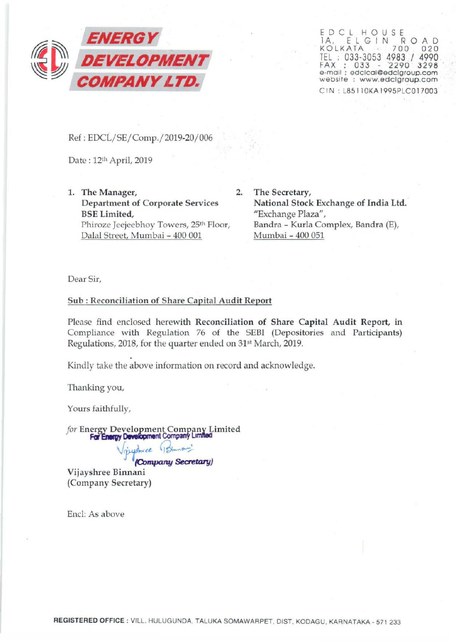

ED CL H O U SE 1 A, ELGIN ROAD<br>KOLKATA - 700 020 TEL : 033-3053 4983 / 4990 FAX ; 033 - '2290 3298 e-mail : edclcal@edclgroup.com website : www.edclgroup.com CIN: L851 10KA1995PLCOl7003

Ref: EDCL/SE/Comp./2019-20/006

Date: 12th April, 2019

1. The Manager, 2. Department of Corporate Services BSE Limited, Phiroze Jeejeebhoy Towers, 25<sup>th</sup> Floor, Dalal Street, Mumbai - 400 001

The Secretary, National Stock Exchange of India Ltd. "Exchange Plaza", Sandra - Kurla Complex, Bandra (E), Mumbai- 400 051

Dear Sir,

## Sub: Reconciliation of Share Capital Audit Report

Please find enclosed herewith Reconciliation of Share Capital Audit Report, in Compliance with Regulation 76 of the SEBI (Depositories and Participants) Regulations, 2018, for the quarter ended on 31<sup>st</sup> March, 2019.

Kindly take the above information on record and acknowledge.

Thanking you,

Yours faithfully,

for Energy Development Company Limited **For Energy Development Company Limited** 

> pushree (Sinna) *(Company Secretary}*

Vijayshree Binnani (Company Secretary)

End: As above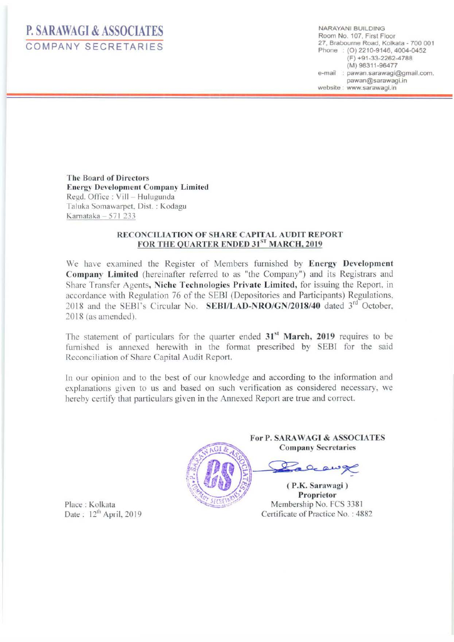## **P. SARAWAGI & ASSOCIATES**  COMPANY SECRETARIES

NARAYAN! BUILDING Room No. 107, First Floor 27, Braboume Road, Kolkata - 700 001 Phone : (0) 2210-9146, 4004-0452 (F) +91-33-2262-4788 (M) 98311-96477 e-mail : pawan.sarawagi@gmail.com. pawan@sarawagi. in website : www.sarawagi.in

The Board of Directors Energy Development Company Limited Regd. Office: Vill - Hulugunda Taluka Somawarpct. Oist. : Kodagu Karnataka - 571 233

## RECONCILIATION OF SHARE CAPITAL AUDIT REPORT FOR THE QUARTER ENDED 31ST MARCH, 2019

We have examined the Register of Members furnished by Energy Development Company Limited (hereinafter referred to as "the Company") and its Registrars and Share Transfer Agents, Niche Technologies Private Limited, for issuing the Report. in accordance with Regulation 76 of the SEBJ (Depositories and Participants) Regulations. 2018 and the SEBI's Circular No. SEBI/LAD-NRO/GN/2018/40 dated 3<sup>rd</sup> October. 2018 (as amended).

The statement of particulars for the quarter ended  $31<sup>st</sup>$  March, 2019 requires to be furnished is annexed herewith in the format prescribed by EBT for the said Reconciliation of Share Capital Audit Report.

In our opinion and to the best of our knowledge and according to the information and explanations given to us and based on such verification as considered necessary, we hereby certify that particulars given in the Annexed Report are true and correct.



For P. SARAWAGI & ASSOCIATES<br>
Company Secretaries

Proprietor<br>Membership No. FCS 3381 Certificate of Practice No. : 4882

Place : Kolkata Date:  $12<sup>th</sup>$  April, 2019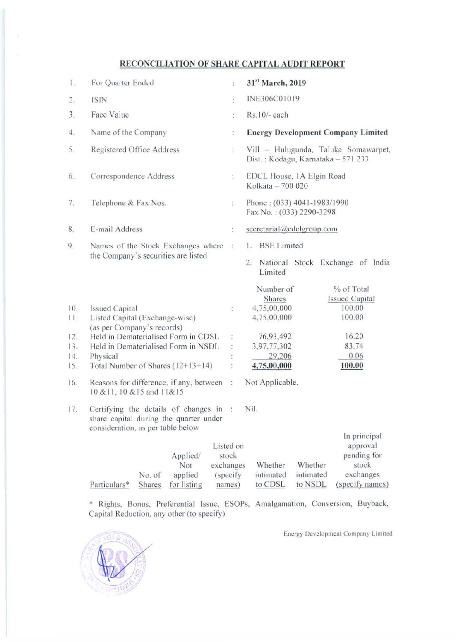## RECONCILIATION OF SHARE CAPITAL AUDIT REPORT

| Ï.         | For Quarter Ended                                                                                                   | ţ.                              | 31st March, 2019                                                                                             |
|------------|---------------------------------------------------------------------------------------------------------------------|---------------------------------|--------------------------------------------------------------------------------------------------------------|
| 2.         | <b>ISIN</b>                                                                                                         | ţ.                              | INE306C01019                                                                                                 |
| 3.         | Face Value                                                                                                          | ŧ.                              | Rs.10/- each                                                                                                 |
| 4.         | Name of the Company                                                                                                 | t.                              | <b>Energy Development Company Limited</b>                                                                    |
| 5.         | Registered Office Address                                                                                           | $\ddot{\cdot}$                  | Vill - Hulugunda, Taluka Somawarpet,<br>Dist.: Kodagu, Karnataka - 571 233                                   |
| 6.         | Correspondence Address                                                                                              | ţ.                              | EDCL House, 1A Elgin Road<br>Kolkata - 700 020                                                               |
| 7.         | Telephone & Fax Nos.                                                                                                | ÷,                              | Phone: (033) 4041-1983/1990<br>Fax No.: (033) 2290-3298                                                      |
| 8.         | E-mail Address                                                                                                      | ÷,                              | secretarial@edclgroup.com                                                                                    |
| 9.         | Names of the Stock Exchanges where                                                                                  | $\frac{1}{2}$                   | <b>BSE</b> Limited<br>1.                                                                                     |
|            | the Company's securities are listed                                                                                 |                                 | National Stock Exchange of India<br>2.<br>Limited                                                            |
| 10.<br>11. | <b>Issued Capital</b><br>Listed Capital (Exchange-wise)                                                             | š.                              | % of Total<br>Number of<br>Shares<br><b>Issued Capital</b><br>4,75,00,000<br>100.00<br>4,75,00,000<br>100.00 |
|            | (as per Company's records)                                                                                          |                                 |                                                                                                              |
| 12.        | Held in Dematerialised Form in CDSL                                                                                 | ÷                               | 16.20<br>76,93,492                                                                                           |
| 13.<br>14. | Held in Dematerialised Form in NSDL                                                                                 | ÷                               | 83.74<br>3,97,77,302<br>29,206<br>0.06                                                                       |
| 15.        | Physical<br>Total Number of Shares (12+13+14)                                                                       |                                 | 4,75,00,000<br>100.00                                                                                        |
| 16.        | Reasons for difference, if any, between<br>10 & 11, 10 & 15 and 11&15                                               | $\sigma_{\rm c}$                | Not Applicable.                                                                                              |
| 17.        | Certifying the details of changes in<br>share capital during the quarter under<br>consideration, as per table below | - 3                             | Nil.                                                                                                         |
|            | Applied/<br>Not                                                                                                     | Listed on<br>stock<br>exchanges | In principal<br>approval<br>pending for<br>Whether<br>Whether<br>stock                                       |

\* Rights, Bonus, Preferential Issue, ESOPs, Amalgamation, Conversion, Buyback, Capital Reduction, any other (to specify)

(specify

Energy Development Company Limited

to CDSL to NSDL (specify names)

exchanges

intimated intimated



Particulars\*

No. of

applied

Shares for listing names)